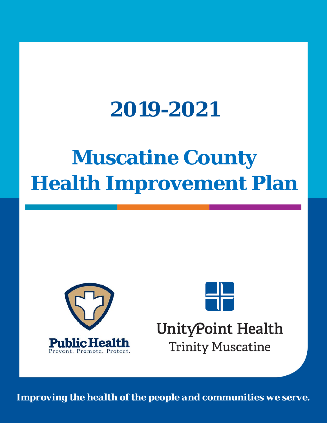# **2019-2021**

# **Muscatine County Health Improvement Plan**





## UnityPoint Health **Trinity Muscatine**

*Improving the health of the people and communities we serve.*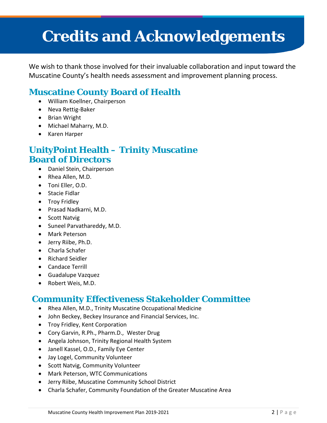## **Credits and Acknowledgements**

We wish to thank those involved for their invaluable collaboration and input toward the Muscatine County's health needs assessment and improvement planning process.

### **Muscatine County Board of Health**

- William Koellner, Chairperson
- Neva Rettig-Baker
- Brian Wright
- Michael Maharry, M.D.
- Karen Harper

### **UnityPoint Health – Trinity Muscatine Board of Directors**

- Daniel Stein, Chairperson
- Rhea Allen, M.D.
- Toni Eller, O.D.
- Stacie Fidlar
- Troy Fridley
- Prasad Nadkarni, M.D.
- Scott Natvig
- Suneel Parvathareddy, M.D.
- Mark Peterson
- Jerry Riibe, Ph.D.
- Charla Schafer
- Richard Seidler
- Candace Terrill
- Guadalupe Vazquez
- Robert Weis, M.D.

### **Community Effectiveness Stakeholder Committee**

- Rhea Allen, M.D., Trinity Muscatine Occupational Medicine
- John Beckey, Beckey Insurance and Financial Services, Inc.
- Troy Fridley, Kent Corporation
- Cory Garvin, R.Ph., Pharm.D., Wester Drug
- Angela Johnson, Trinity Regional Health System
- Janell Kassel, O.D., Family Eye Center
- Jay Logel, Community Volunteer
- Scott Natvig, Community Volunteer
- Mark Peterson, WTC Communications
- Jerry Riibe, Muscatine Community School District
- Charla Schafer, Community Foundation of the Greater Muscatine Area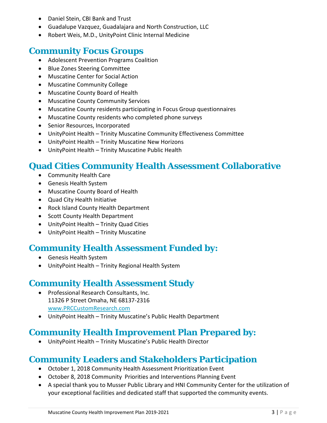- Daniel Stein, CBI Bank and Trust
- Guadalupe Vazquez, Guadalajara and North Construction, LLC
- Robert Weis, M.D., UnityPoint Clinic Internal Medicine

### **Community Focus Groups**

- Adolescent Prevention Programs Coalition
- Blue Zones Steering Committee
- Muscatine Center for Social Action
- Muscatine Community College
- Muscatine County Board of Health
- Muscatine County Community Services
- Muscatine County residents participating in Focus Group questionnaires
- Muscatine County residents who completed phone surveys
- Senior Resources, Incorporated
- UnityPoint Health Trinity Muscatine Community Effectiveness Committee
- UnityPoint Health Trinity Muscatine New Horizons
- UnityPoint Health Trinity Muscatine Public Health

### **Quad Cities Community Health Assessment Collaborative**

- Community Health Care
- Genesis Health System
- Muscatine County Board of Health
- Quad City Health Initiative
- Rock Island County Health Department
- Scott County Health Department
- UnityPoint Health Trinity Quad Cities
- UnityPoint Health Trinity Muscatine

### **Community Health Assessment Funded by:**

- Genesis Health System
- UnityPoint Health Trinity Regional Health System

### **Community Health Assessment Study**

- Professional Research Consultants, Inc. 11326 P Street Omaha, NE 68137-2316 [www.PRCCustomResearch.com](http://www.prccustomresearch.com/)
- UnityPoint Health Trinity Muscatine's Public Health Department

### **Community Health Improvement Plan Prepared by:**

• UnityPoint Health – Trinity Muscatine's Public Health Director

### **Community Leaders and Stakeholders Participation**

- October 1, 2018 Community Health Assessment Prioritization Event
- October 8, 2018 Community Priorities and Interventions Planning Event
- A special thank you to Musser Public Library and HNI Community Center for the utilization of your exceptional facilities and dedicated staff that supported the community events.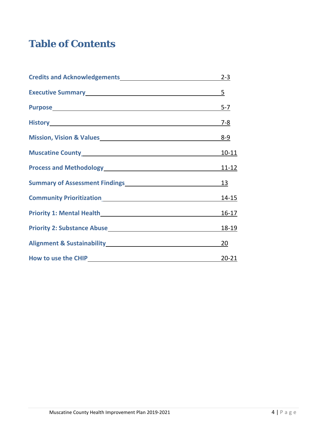### **Table of Contents**

| Credits and Acknowledgements 2-3                                                                                                                                                                                                           |                 |
|--------------------------------------------------------------------------------------------------------------------------------------------------------------------------------------------------------------------------------------------|-----------------|
| Executive Summary<br><u>Executive Summary</u>                                                                                                                                                                                              | $5\overline{)}$ |
| Purpose 5-7                                                                                                                                                                                                                                |                 |
| History <b>Experience Advisory Experience Advisory Experience Advisory Experience Advisory</b>                                                                                                                                             | $7 - 8$         |
| Mission, Vision & Values Mission, 2010                                                                                                                                                                                                     | $8 - 9$         |
|                                                                                                                                                                                                                                            | $10 - 11$       |
| Process and Methodology<br>Management Contains and Methodology<br>Management Contains and Methodology<br>Management Contains and Methodology<br>Management Contains and Methodology<br>Management Contains and Methodology<br>Management C | 11-12           |
| Summary of Assessment Findings<br>Management Assessment Pindings<br>Management Assessment Pindings<br>Management Assessment Pindings<br>Management Assessment Pindings<br>Management Assessment Pindings<br>Management Assessment Pindings | 13              |
|                                                                                                                                                                                                                                            | $14 - 15$       |
| Priority 1: Mental Health <b>Exercise 2018</b>                                                                                                                                                                                             | $16 - 17$       |
| <b>Priority 2: Substance Abuse Manufacture 10 April 10 April 10 April 10 April 10 April 10 April 10 April 10 April 10 April 10 April 10 April 10 April 10 April 10 April 10 April 10 April 10 April 10 April 10 April 10 April</b>         | 18-19           |
| Alignment & Sustainability Management of the Sustainability                                                                                                                                                                                | <b>20</b>       |
| How to use the CHIP<br><u>Example 2006</u>                                                                                                                                                                                                 | $20 - 21$       |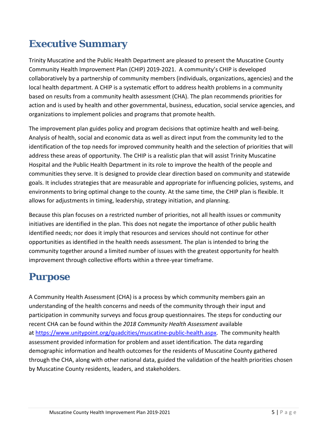### **Executive Summary**

Trinity Muscatine and the Public Health Department are pleased to present the Muscatine County Community Health Improvement Plan (CHIP) 2019-2021. A community's CHIP is developed collaboratively by a partnership of community members (individuals, organizations, agencies) and the local health department. A CHIP is a systematic effort to address health problems in a community based on results from a community health assessment (CHA). The plan recommends priorities for action and is used by health and other governmental, business, education, social service agencies, and organizations to implement policies and programs that promote health.

The improvement plan guides policy and program decisions that optimize health and well-being. Analysis of health, social and economic data as well as direct input from the community led to the identification of the top needs for improved community health and the selection of priorities that will address these areas of opportunity. The CHIP is a realistic plan that will assist Trinity Muscatine Hospital and the Public Health Department in its role to improve the health of the people and communities they serve. It is designed to provide clear direction based on community and statewide goals. It includes strategies that are measurable and appropriate for influencing policies, systems, and environments to bring optimal change to the county. At the same time, the CHIP plan is flexible. It allows for adjustments in timing, leadership, strategy initiation, and planning.

Because this plan focuses on a restricted number of priorities, not all health issues or community initiatives are identified in the plan. This does not negate the importance of other public health identified needs; nor does it imply that resources and services should not continue for other opportunities as identified in the health needs assessment. The plan is intended to bring the community together around a limited number of issues with the greatest opportunity for health improvement through collective efforts within a three-year timeframe.

### **Purpose**

A Community Health Assessment (CHA) is a process by which community members gain an understanding of the health concerns and needs of the community through their input and participation in community surveys and focus group questionnaires. The steps for conducting our recent CHA can be found within the *2018 Community Health Assessment* available at [https://www.unitypoint.org/quadcities/muscatine-public-health.aspx.](https://www.unitypoint.org/quadcities/muscatine-public-health.aspx) The community health assessment provided information for problem and asset identification. The data regarding demographic information and health outcomes for the residents of Muscatine County gathered through the CHA, along with other national data, guided the validation of the health priorities chosen by Muscatine County residents, leaders, and stakeholders.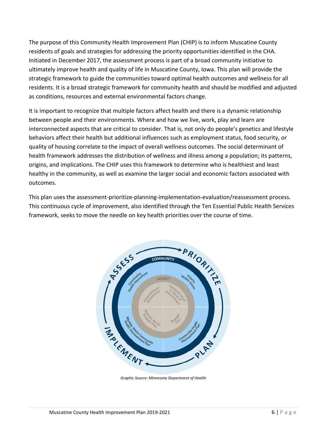The purpose of this Community Health Improvement Plan (CHIP) is to inform Muscatine County residents of goals and strategies for addressing the priority opportunities identified in the CHA. Initiated in December 2017, the assessment process is part of a broad community initiative to ultimately improve health and quality of life in Muscatine County, Iowa. This plan will provide the strategic framework to guide the communities toward optimal health outcomes and wellness for all residents. It is a broad strategic framework for community health and should be modified and adjusted as conditions, resources and external environmental factors change.

It is important to recognize that multiple factors affect health and there is a dynamic relationship between people and their environments. Where and how we live, work, play and learn are interconnected aspects that are critical to consider. That is, not only do people's genetics and lifestyle behaviors affect their health but additional influences such as employment status, food security, or quality of housing correlate to the impact of overall wellness outcomes. The social determinant of health framework addresses the distribution of wellness and illness among a population; its patterns, origins, and implications. The CHIP uses this framework to determine who is healthiest and least healthy in the community, as well as examine the larger social and economic factors associated with outcomes.

This plan uses the assessment-prioritize-planning-implementation-evaluation/reassessment process. This continuous cycle of improvement, also identified through the Ten Essential Public Health Services framework, seeks to move the needle on key health priorities over the course of time.



*Graphic Source: Minnesota Department of Health*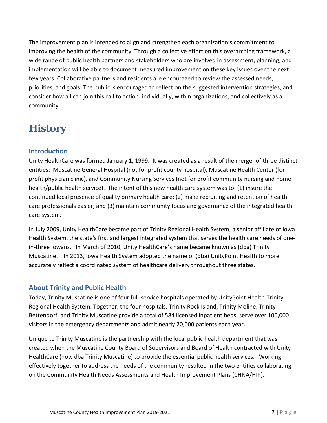The improvement plan is intended to align and strengthen each organization's commitment to improving the health of the community. Through a collective effort on this overarching framework, a wide range of public health partners and stakeholders who are involved in assessment, planning, and implementation will be able to document measured improvement on these key issues over the next few years. Collaborative partners and residents are encouraged to review the assessed needs, priorities, and goals. The public is encouraged to reflect on the suggested intervention strategies, and consider how all can join this call to action: individually, within organizations, and collectively as a community.

### **History**

#### **Introduction**

Unity HealthCare was formed January 1, 1999. It was created as a result of the merger of three distinct entities: Muscatine General Hospital (not for profit county hospital), Muscatine Health Center (for profit physician clinic), and Community Nursing Services (not for profit community nursing and home health/public health service). The intent of this new health care system was to: (1) insure the continued local presence of quality primary health care; (2) make recruiting and retention of health care professionals easier; and (3) maintain community focus and governance of the integrated health care system.

In July 2009, Unity HealthCare became part of Trinity Regional Health System, a senior affiliate of Iowa Health System, the state's first and largest integrated system that serves the health care needs of onein-three Iowans. In March of 2010, Unity HealthCare's name became known as (dba) Trinity Muscatine. In 2013, Iowa Health System adopted the name of (dba) UnityPoint Health to more accurately reflect a coordinated system of healthcare delivery throughout three states.

#### **About Trinity and Public Health**

Today, Trinity Muscatine is one of four full-service hospitals operated by UnityPoint Health-Trinity Regional Health System. Together, the four hospitals, Trinity Rock Island, Trinity Moline, Trinity Bettendorf, and Trinity Muscatine provide a total of 584 licensed inpatient beds, serve over 100,000 visitors in the emergency departments and admit nearly 20,000 patients each year.

Unique to Trinity Muscatine is the partnership with the local public health department that was created when the Muscatine County Board of Supervisors and Board of Health contracted with Unity HealthCare (now dba Trinity Muscatine) to provide the essential public health services. Working effectively together to address the needs of the community resulted in the two entities collaborating on the Community Health Needs Assessments and Health Improvement Plans (CHNA/HIP).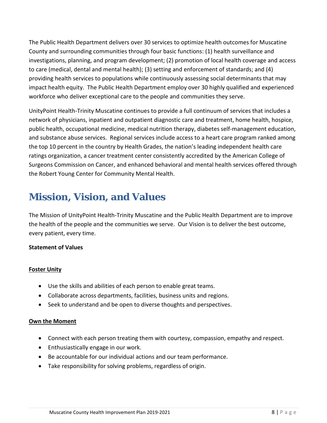The Public Health Department delivers over 30 services to optimize health outcomes for Muscatine County and surrounding communities through four basic functions: (1) health surveillance and investigations, planning, and program development; (2) promotion of local health coverage and access to care (medical, dental and mental health); (3) setting and enforcement of standards; and (4) providing health services to populations while continuously assessing social determinants that may impact health equity. The Public Health Department employ over 30 highly qualified and experienced workforce who deliver exceptional care to the people and communities they serve.

UnityPoint Health-Trinity Muscatine continues to provide a full continuum of services that includes a network of physicians, inpatient and outpatient diagnostic care and treatment, home health, hospice, public health, occupational medicine, medical nutrition therapy, diabetes self-management education, and substance abuse services. Regional services include access to a heart care program ranked among the top 10 percent in the country by Health Grades, the nation's leading independent health care ratings organization, a cancer treatment center consistently accredited by the American College of Surgeons Commission on Cancer, and enhanced behavioral and mental health services offered through the Robert Young Center for Community Mental Health.

### **Mission, Vision, and Values**

The Mission of UnityPoint Health-Trinity Muscatine and the Public Health Department are to improve the health of the people and the communities we serve. Our Vision is to deliver the best outcome, every patient, every time.

#### **Statement of Values**

#### **Foster Unity**

- Use the skills and abilities of each person to enable great teams.
- Collaborate across departments, facilities, business units and regions.
- Seek to understand and be open to diverse thoughts and perspectives.

#### **Own the Moment**

- Connect with each person treating them with courtesy, compassion, empathy and respect.
- Enthusiastically engage in our work.
- Be accountable for our individual actions and our team performance.
- Take responsibility for solving problems, regardless of origin.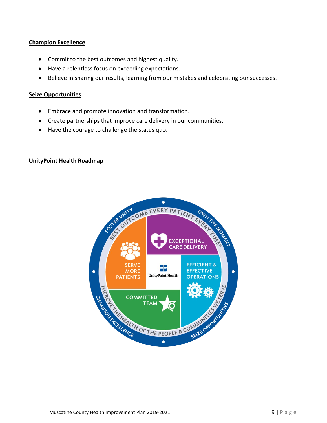#### **Champion Excellence**

- Commit to the best outcomes and highest quality.
- Have a relentless focus on exceeding expectations.
- Believe in sharing our results, learning from our mistakes and celebrating our successes.

#### **Seize Opportunities**

- Embrace and promote innovation and transformation.
- Create partnerships that improve care delivery in our communities.
- Have the courage to challenge the status quo.

#### **UnityPoint Health Roadmap**

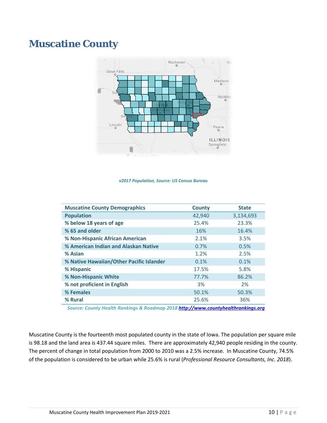### **Muscatine County**



*v2017 Population, Source: US Census Bureau* 

| <b>Muscatine County Demographics</b>     | <b>County</b> | <b>State</b> |
|------------------------------------------|---------------|--------------|
| <b>Population</b>                        | 42,940        | 3,134,693    |
| % below 18 years of age                  | 25.4%         | 23.3%        |
| % 65 and older                           | 16%           | 16.4%        |
| % Non-Hispanic African American          | 2.1%          | 3.5%         |
| % American Indian and Alaskan Native     | 0.7%          | 0.5%         |
| % Asian                                  | 1.2%          | 2.5%         |
| % Native Hawaiian/Other Pacific Islander | 0.1%          | 0.1%         |
| % Hispanic                               | 17.5%         | 5.8%         |
| % Non-Hispanic White                     | 77.7%         | 86.2%        |
| % not proficient in English              | 3%            | 2%           |
| % Females                                | 50.1%         | 50.3%        |
| % Rural                                  | 25.6%         | 36%          |

 *Source: County Health Rankings & Roadmap 2018 [http://www.countyhealthrankings.org](http://www.countyhealthrankings.org/)*

Muscatine County is the fourteenth most populated county in the state of Iowa. The population per square mile is 98.18 and the land area is 437.44 square miles. There are approximately 42,940 people residing in the county. The percent of change in total population from 2000 to 2010 was a 2.5% increase. In Muscatine County, 74.5% of the population is considered to be urban while 25.6% is rural (*Professional Resource Consultants, Inc. 2018*).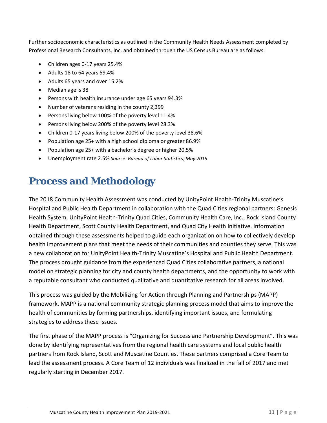Further socioeconomic characteristics as outlined in the Community Health Needs Assessment completed by Professional Research Consultants, Inc. and obtained through the US Census Bureau are as follows:

- Children ages 0-17 years 25.4%
- Adults 18 to 64 years 59.4%
- Adults 65 years and over 15.2%
- Median age is 38
- Persons with health insurance under age 65 years 94.3%
- Number of veterans residing in the county 2,399
- Persons living below 100% of the poverty level 11.4%
- Persons living below 200% of the poverty level 28.3%
- Children 0-17 years living below 200% of the poverty level 38.6%
- Population age 25+ with a high school diploma or greater 86.9%
- Population age 25+ with a bachelor's degree or higher 20.5%
- Unemployment rate 2.5% *Source: Bureau of Labor Statistics, May 2018*

### **Process and Methodology**

The 2018 Community Health Assessment was conducted by UnityPoint Health-Trinity Muscatine's Hospital and Public Health Department in collaboration with the Quad Cities regional partners: Genesis Health System, UnityPoint Health-Trinity Quad Cities, Community Health Care, Inc., Rock Island County Health Department, Scott County Health Department, and Quad City Health Initiative. Information obtained through these assessments helped to guide each organization on how to collectively develop health improvement plans that meet the needs of their communities and counties they serve. This was a new collaboration for UnityPoint Health-Trinity Muscatine's Hospital and Public Health Department. The process brought guidance from the experienced Quad Cities collaborative partners, a national model on strategic planning for city and county health departments, and the opportunity to work with a reputable consultant who conducted qualitative and quantitative research for all areas involved.

This process was guided by the Mobilizing for Action through Planning and Partnerships (MAPP) framework. MAPP is a national community strategic planning process model that aims to improve the health of communities by forming partnerships, identifying important issues, and formulating strategies to address these issues.

The first phase of the MAPP process is "Organizing for Success and Partnership Development". This was done by identifying representatives from the regional health care systems and local public health partners from Rock Island, Scott and Muscatine Counties. These partners comprised a Core Team to lead the assessment process. A Core Team of 12 individuals was finalized in the fall of 2017 and met regularly starting in December 2017.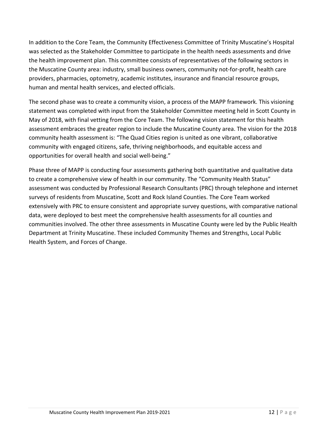In addition to the Core Team, the Community Effectiveness Committee of Trinity Muscatine's Hospital was selected as the Stakeholder Committee to participate in the health needs assessments and drive the health improvement plan. This committee consists of representatives of the following sectors in the Muscatine County area: industry, small business owners, community not-for-profit, health care providers, pharmacies, optometry, academic institutes, insurance and financial resource groups, human and mental health services, and elected officials.

The second phase was to create a community vision, a process of the MAPP framework. This visioning statement was completed with input from the Stakeholder Committee meeting held in Scott County in May of 2018, with final vetting from the Core Team. The following vision statement for this health assessment embraces the greater region to include the Muscatine County area. The vision for the 2018 community health assessment is: "The Quad Cities region is united as one vibrant, collaborative community with engaged citizens, safe, thriving neighborhoods, and equitable access and opportunities for overall health and social well-being."

Phase three of MAPP is conducting four assessments gathering both quantitative and qualitative data to create a comprehensive view of health in our community. The "Community Health Status" assessment was conducted by Professional Research Consultants (PRC) through telephone and internet surveys of residents from Muscatine, Scott and Rock Island Counties. The Core Team worked extensively with PRC to ensure consistent and appropriate survey questions, with comparative national data, were deployed to best meet the comprehensive health assessments for all counties and communities involved. The other three assessments in Muscatine County were led by the Public Health Department at Trinity Muscatine. These included Community Themes and Strengths, Local Public Health System, and Forces of Change.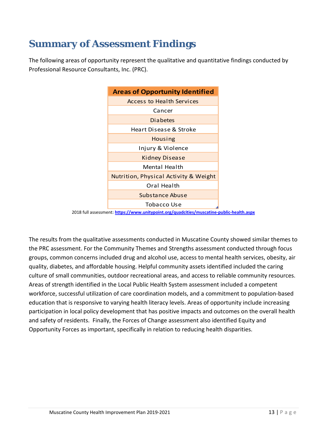### **Summary of Assessment Findings**

The following areas of opportunity represent the qualitative and quantitative findings conducted by Professional Resource Consultants, Inc. (PRC).



2018 full assessment**[: https://www.unitypoint.org/quadcities/muscatine-public-health.aspx](https://www.unitypoint.org/quadcities/muscatine-public-health.aspx)**

The results from the qualitative assessments conducted in Muscatine County showed similar themes to the PRC assessment. For the Community Themes and Strengths assessment conducted through focus groups, common concerns included drug and alcohol use, access to mental health services, obesity, air quality, diabetes, and affordable housing. Helpful community assets identified included the caring culture of small communities, outdoor recreational areas, and access to reliable community resources. Areas of strength identified in the Local Public Health System assessment included a competent workforce, successful utilization of care coordination models, and a commitment to population-based education that is responsive to varying health literacy levels. Areas of opportunity include increasing participation in local policy development that has positive impacts and outcomes on the overall health and safety of residents. Finally, the Forces of Change assessment also identified Equity and Opportunity Forces as important, specifically in relation to reducing health disparities.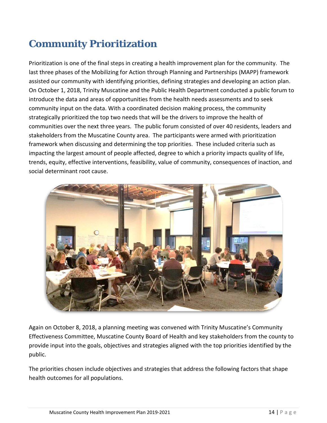### **Community Prioritization**

Prioritization is one of the final steps in creating a health improvement plan for the community. The last three phases of the Mobilizing for Action through Planning and Partnerships (MAPP) framework assisted our community with identifying priorities, defining strategies and developing an action plan. On October 1, 2018, Trinity Muscatine and the Public Health Department conducted a public forum to introduce the data and areas of opportunities from the health needs assessments and to seek community input on the data. With a coordinated decision making process, the community strategically prioritized the top two needs that will be the drivers to improve the health of communities over the next three years. The public forum consisted of over 40 residents, leaders and stakeholders from the Muscatine County area. The participants were armed with prioritization framework when discussing and determining the top priorities. These included criteria such as impacting the largest amount of people affected, degree to which a priority impacts quality of life, trends, equity, effective interventions, feasibility, value of community, consequences of inaction, and social determinant root cause.



Again on October 8, 2018, a planning meeting was convened with Trinity Muscatine's Community Effectiveness Committee, Muscatine County Board of Health and key stakeholders from the county to provide input into the goals, objectives and strategies aligned with the top priorities identified by the public.

The priorities chosen include objectives and strategies that address the following factors that shape health outcomes for all populations.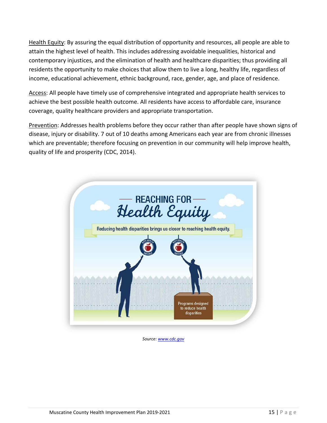Health Equity: By assuring the equal distribution of opportunity and resources, all people are able to attain the highest level of health. This includes addressing avoidable inequalities, historical and contemporary injustices, and the elimination of health and healthcare disparities; thus providing all residents the opportunity to make choices that allow them to live a long, healthy life, regardless of income, educational achievement, ethnic background, race, gender, age, and place of residence.

Access: All people have timely use of comprehensive integrated and appropriate health services to achieve the best possible health outcome. All residents have access to affordable care, insurance coverage, quality healthcare providers and appropriate transportation.

Prevention: Addresses health problems before they occur rather than after people have shown signs of disease, injury or disability. 7 out of 10 deaths among Americans each year are from chronic illnesses which are preventable; therefore focusing on prevention in our community will help improve health, quality of life and prosperity (CDC, 2014).



*Source: [www.cdc.gov](http://www.cdc.gov/)*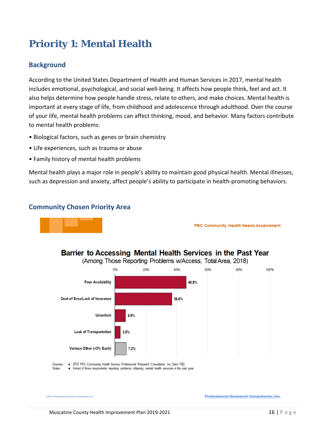### **Priority 1: Mental Health**

#### **Background**

According to the United States Department of Health and Human Services in 2017, mental health includes emotional, psychological, and social well-being. It affects how people think, feel and act. It also helps determine how people handle stress, relate to others, and make choices. Mental health is important at every stage of life, from childhood and adolescence through adulthood. Over the course of your life, mental health problems can affect thinking, mood, and behavior. Many factors contribute to mental health problems:

- Biological factors, such as genes or brain chemistry
- Life experiences, such as trauma or abuse
- Family history of mental health problems

Mental health plays a major role in people's ability to maintain good physical health. Mental illnesses, such as depression and anxiety, affect people's ability to participate in health-promoting behaviors.

#### **Community Chosen Priority Area**



**PRC Community Health Needs Assessment** 



Barrier to Accessing Mental Health Services in the Past Year

. 2018 PRC Community Health Survey, Professional Research Consultants, Inc. [Item 106] Sources:

• Asked of those respondents reporting problems obtaining mental health services in the past year. Notes:

```
C2017 Professional Research Consultants, Inc.
```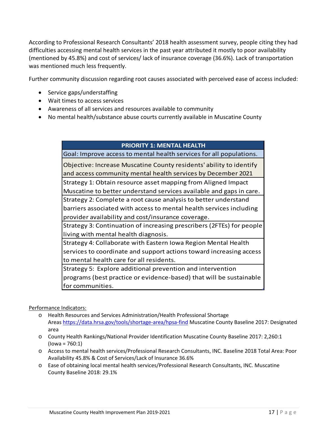According to Professional Research Consultants' 2018 health assessment survey, people citing they had difficulties accessing mental health services in the past year attributed it mostly to poor availability (mentioned by 45.8%) and cost of services/ lack of insurance coverage (36.6%). Lack of transportation was mentioned much less frequently.

Further community discussion regarding root causes associated with perceived ease of access included:

- Service gaps/understaffing
- Wait times to access services
- Awareness of all services and resources available to community
- No mental health/substance abuse courts currently available in Muscatine County

#### **PRIORITY 1: MENTAL HEALTH**

Goal: Improve access to mental health services for all populations.

Objective: Increase Muscatine County residents' ability to identify and access community mental health services by December 2021

Strategy 1: Obtain resource asset mapping from Aligned Impact Muscatine to better understand services available and gaps in care.

Strategy 2: Complete a root cause analysis to better understand

barriers associated with access to mental health services including provider availability and cost/insurance coverage.

Strategy 3: Continuation of increasing prescribers (2FTEs) for people living with mental health diagnosis.

Strategy 4: Collaborate with Eastern Iowa Region Mental Health services to coordinate and support actions toward increasing access to mental health care for all residents.

Strategy 5: Explore additional prevention and intervention programs (best practice or evidence-based) that will be sustainable for communities.

Performance Indicators:

- o Health Resources and Services Administration/Health Professional Shortage Area[s https://data.hrsa.gov/tools/shortage-area/hpsa-find](https://data.hrsa.gov/tools/shortage-area/hpsa-find) Muscatine County Baseline 2017: Designated area
- o County Health Rankings/National Provider Identification Muscatine County Baseline 2017: 2,260:1  $(lowa = 760:1)$
- o Access to mental health services/Professional Research Consultants, INC. Baseline 2018 Total Area: Poor Availability 45.8% & Cost of Services/Lack of Insurance 36.6%
- o Ease of obtaining local mental health services/Professional Research Consultants, INC. Muscatine County Baseline 2018: 29.1%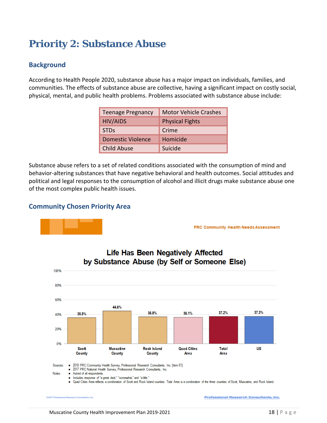### **Priority 2: Substance Abuse**

#### **Background**

According to Health People 2020, substance abuse has a major impact on individuals, families, and communities. The effects of substance abuse are collective, having a significant impact on costly social, physical, mental, and public health problems. Problems associated with substance abuse include:

| <b>Teenage Pregnancy</b> | <b>Motor Vehicle Crashes</b> |  |
|--------------------------|------------------------------|--|
| <b>HIV/AIDS</b>          | <b>Physical Fights</b>       |  |
| <b>STDs</b>              | Crime                        |  |
| <b>Domestic Violence</b> | Homicide                     |  |
| <b>Child Abuse</b>       | Suicide                      |  |

Substance abuse refers to a set of related conditions associated with the consumption of mind and behavior-altering substances that have negative behavioral and health outcomes. Social attitudes and political and legal responses to the consumption of alcohol and illicit drugs make substance abuse one of the most complex public health issues.

#### **Community Chosen Priority Area**



**PRC Community Health Needs Assessment** 



**Life Has Been Negatively Affected** 

**Professional Research Consultants, Inc.**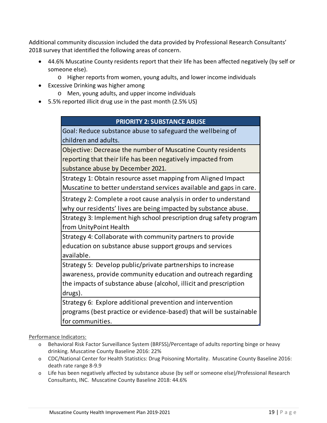Additional community discussion included the data provided by Professional Research Consultants' 2018 survey that identified the following areas of concern.

- 44.6% Muscatine County residents report that their life has been affected negatively (by self or someone else).
	- o Higher reports from women, young adults, and lower income individuals
- Excessive Drinking was higher among
	- o Men, young adults, and upper income individuals
- 5.5% reported illicit drug use in the past month (2.5% US)

#### **PRIORITY 2: SUBSTANCE ABUSE**

Goal: Reduce substance abuse to safeguard the wellbeing of children and adults.

Objective: Decrease the number of Muscatine County residents reporting that their life has been negatively impacted from substance abuse by December 2021.

Strategy 1: Obtain resource asset mapping from Aligned Impact Muscatine to better understand services available and gaps in care.

Strategy 2: Complete a root cause analysis in order to understand why our residents' lives are being impacted by substance abuse.

Strategy 3: Implement high school prescription drug safety program from UnityPoint Health

Strategy 4: Collaborate with community partners to provide education on substance abuse support groups and services available.

Strategy 5: Develop public/private partnerships to increase awareness, provide community education and outreach regarding the impacts of substance abuse (alcohol, illicit and prescription drugs).

Strategy 6: Explore additional prevention and intervention programs (best practice or evidence-based) that will be sustainable for communities.

#### Performance Indicators:

- o Behavioral Risk Factor Surveillance System (BRFSS)/Percentage of adults reporting binge or heavy drinking. Muscatine County Baseline 2016: 22%
- o CDC/National Center for Health Statistics: Drug Poisoning Mortality. Muscatine County Baseline 2016: death rate range 8-9.9
- o Life has been negatively affected by substance abuse (by self or someone else)/Professional Research Consultants, INC. Muscatine County Baseline 2018: 44.6%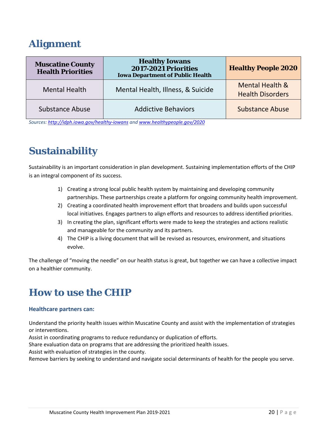### **Alignment**

| <b>Muscatine County</b><br><b>Health Priorities</b> | <b>Healthy Iowans</b><br><b>2017-2021 Priorities</b><br><b>Iowa Department of Public Health</b> | <b>Healthy People 2020</b>                            |
|-----------------------------------------------------|-------------------------------------------------------------------------------------------------|-------------------------------------------------------|
| <b>Mental Health</b>                                | Mental Health, Illness, & Suicide                                                               | <b>Mental Health &amp;</b><br><b>Health Disorders</b> |
| <b>Substance Abuse</b>                              | <b>Addictive Behaviors</b>                                                                      | <b>Substance Abuse</b>                                |

*Sources:<http://idph.iowa.gov/healthy-iowans> an[d www.healthypeople.gov/2020](http://www.healthypeople.gov/2020)*

### **Sustainability**

Sustainability is an important consideration in plan development. Sustaining implementation efforts of the CHIP is an integral component of its success.

- 1) Creating a strong local public health system by maintaining and developing community partnerships. These partnerships create a platform for ongoing community health improvement.
- 2) Creating a coordinated health improvement effort that broadens and builds upon successful local initiatives. Engages partners to align efforts and resources to address identified priorities.
- 3) In creating the plan, significant efforts were made to keep the strategies and actions realistic and manageable for the community and its partners.
- 4) The CHIP is a living document that will be revised as resources, environment, and situations evolve.

The challenge of "moving the needle" on our health status is great, but together we can have a collective impact on a healthier community.

### **How to use the CHIP**

#### **Healthcare partners can:**

Understand the priority health issues within Muscatine County and assist with the implementation of strategies or interventions.

Assist in coordinating programs to reduce redundancy or duplication of efforts.

Share evaluation data on programs that are addressing the prioritized health issues.

Assist with evaluation of strategies in the county.

Remove barriers by seeking to understand and navigate social determinants of health for the people you serve.